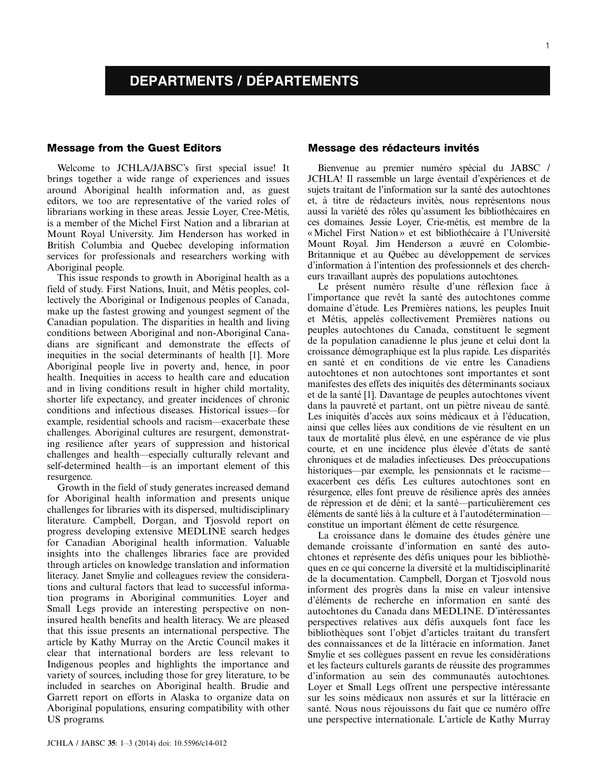1

# DEPARTMENTS / DÉPARTEMENTS

## Message from the Guest Editors

Welcome to JCHLA/JABSC's first special issue! It brings together a wide range of experiences and issues around Aboriginal health information and, as guest editors, we too are representative of the varied roles of librarians working in these areas. Jessie Loyer, Cree-Métis, is a member of the Michel First Nation and a librarian at Mount Royal University. Jim Henderson has worked in British Columbia and Quebec developing information services for professionals and researchers working with Aboriginal people.

This issue responds to growth in Aboriginal health as a field of study. First Nations, Inuit, and Métis peoples, collectively the Aboriginal or Indigenous peoples of Canada, make up the fastest growing and youngest segment of the Canadian population. The disparities in health and living conditions between Aboriginal and non-Aboriginal Canadians are significant and demonstrate the effects of inequities in the social determinants of health [1]. More Aboriginal people live in poverty and, hence, in poor health. Inequities in access to health care and education and in living conditions result in higher child mortality, shorter life expectancy, and greater incidences of chronic conditions and infectious diseases. Historical issues-for example, residential schools and racism—exacerbate these challenges. Aboriginal cultures are resurgent, demonstrating resilience after years of suppression and historical challenges and health—especially culturally relevant and self-determined health—is an important element of this resurgence.

Growth in the field of study generates increased demand for Aboriginal health information and presents unique challenges for libraries with its dispersed, multidisciplinary literature. Campbell, Dorgan, and Tjosvold report on progress developing extensive MEDLINE search hedges for Canadian Aboriginal health information. Valuable insights into the challenges libraries face are provided through articles on knowledge translation and information literacy. Janet Smylie and colleagues review the considerations and cultural factors that lead to successful information programs in Aboriginal communities. Loyer and Small Legs provide an interesting perspective on noninsured health benefits and health literacy. We are pleased that this issue presents an international perspective. The article by Kathy Murray on the Arctic Council makes it clear that international borders are less relevant to Indigenous peoples and highlights the importance and variety of sources, including those for grey literature, to be included in searches on Aboriginal health. Brudie and Garrett report on efforts in Alaska to organize data on Aboriginal populations, ensuring compatibility with other US programs.

# Message des rédacteurs invités

Bienvenue au premier numéro spécial du JABSC / JCHLA! Il rassemble un large éventail d'expériences et de sujets traitant de l'information sur la santé des autochtones et, à titre de rédacteurs invités, nous représentons nous aussi la variété des rôles qu'assument les bibliothécaires en ces domaines. Jessie Loyer, Crie-me´tis, est membre de la « Michel First Nation » et est bibliothécaire à l'Université Mount Royal. Jim Henderson a æuvré en Colombie-Britannique et au Québec au développement de services d'information a` l'intention des professionnels et des chercheurs travaillant auprès des populations autochtones.

Le présent numéro résulte d'une réflexion face à l'importance que revêt la santé des autochtones comme domaine d'étude. Les Premières nations, les peuples Inuit et Métis, appelés collectivement Premières nations ou peuples autochtones du Canada, constituent le segment de la population canadienne le plus jeune et celui dont la croissance démographique est la plus rapide. Les disparités en santé et en conditions de vie entre les Canadiens autochtones et non autochtones sont importantes et sont manifestes des effets des iniquités des déterminants sociaux et de la santé [1]. Davantage de peuples autochtones vivent dans la pauvreté et partant, ont un piètre niveau de santé. Les iniquités d'accès aux soins médicaux et à l'éducation, ainsi que celles liées aux conditions de vie résultent en un taux de mortalité plus élevé, en une espérance de vie plus courte, et en une incidence plus élevée d'états de santé chroniques et de maladies infectieuses. Des préoccupations historiques—par exemple, les pensionnats et le racisme exacerbent ces défis. Les cultures autochtones sont en résurgence, elles font preuve de résilience après des années de répression et de déni; et la santé—particulièrement ces éléments de santé liés à la culture et à l'autodéterminationconstitue un important élément de cette résurgence.

La croissance dans le domaine des études génère une demande croissante d'information en santé des autochtones et représente des défis uniques pour les bibliothèques en ce qui concerne la diversité et la multidisciplinarité de la documentation. Campbell, Dorgan et Tjosvold nous informent des progrès dans la mise en valeur intensive d'éléments de recherche en information en santé des autochtones du Canada dans MEDLINE. D'intéressantes perspectives relatives aux défis auxquels font face les bibliothe`ques sont l'objet d'articles traitant du transfert des connaissances et de la littéracie en information. Janet Smylie et ses collègues passent en revue les considérations et les facteurs culturels garants de réussite des programmes d'information au sein des communautés autochtones. Loyer et Small Legs offrent une perspective intéressante sur les soins médicaux non assurés et sur la littéracie en santé. Nous nous réjouissons du fait que ce numéro offre une perspective internationale. L'article de Kathy Murray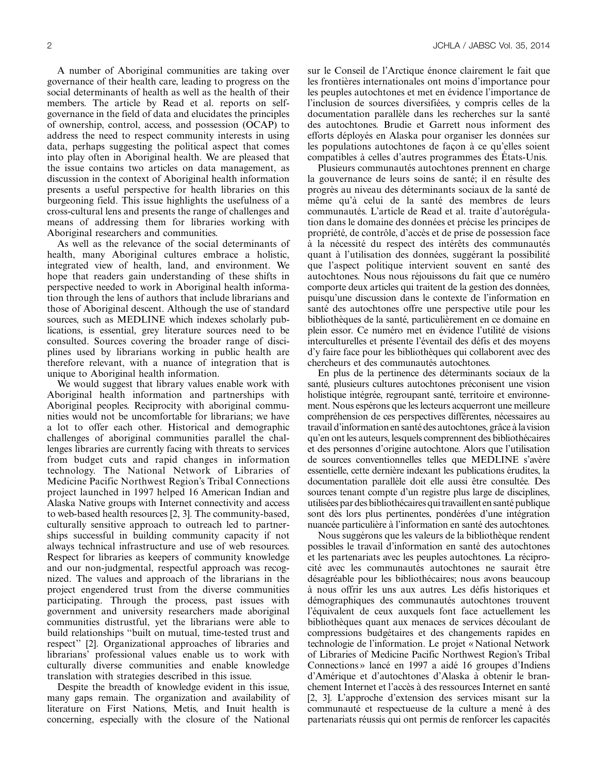A number of Aboriginal communities are taking over governance of their health care, leading to progress on the social determinants of health as well as the health of their members. The article by Read et al. reports on selfgovernance in the field of data and elucidates the principles of ownership, control, access, and possession (OCAP) to address the need to respect community interests in using data, perhaps suggesting the political aspect that comes into play often in Aboriginal health. We are pleased that the issue contains two articles on data management, as discussion in the context of Aboriginal health information presents a useful perspective for health libraries on this burgeoning field. This issue highlights the usefulness of a cross-cultural lens and presents the range of challenges and means of addressing them for libraries working with Aboriginal researchers and communities.

As well as the relevance of the social determinants of health, many Aboriginal cultures embrace a holistic, integrated view of health, land, and environment. We hope that readers gain understanding of these shifts in perspective needed to work in Aboriginal health information through the lens of authors that include librarians and those of Aboriginal descent. Although the use of standard sources, such as MEDLINE which indexes scholarly publications, is essential, grey literature sources need to be consulted. Sources covering the broader range of disciplines used by librarians working in public health are therefore relevant, with a nuance of integration that is unique to Aboriginal health information.

We would suggest that library values enable work with Aboriginal health information and partnerships with Aboriginal peoples. Reciprocity with aboriginal communities would not be uncomfortable for librarians; we have a lot to offer each other. Historical and demographic challenges of aboriginal communities parallel the challenges libraries are currently facing with threats to services from budget cuts and rapid changes in information technology. The National Network of Libraries of Medicine Pacific Northwest Region's Tribal Connections project launched in 1997 helped 16 American Indian and Alaska Native groups with Internet connectivity and access to web-based health resources [2, 3]. The community-based, culturally sensitive approach to outreach led to partnerships successful in building community capacity if not always technical infrastructure and use of web resources. Respect for libraries as keepers of community knowledge and our non-judgmental, respectful approach was recognized. The values and approach of the librarians in the project engendered trust from the diverse communities participating. Through the process, past issues with government and university researchers made aboriginal communities distrustful, yet the librarians were able to build relationships ''built on mutual, time-tested trust and respect'' [2]. Organizational approaches of libraries and librarians' professional values enable us to work with culturally diverse communities and enable knowledge translation with strategies described in this issue.

Despite the breadth of knowledge evident in this issue, many gaps remain. The organization and availability of literature on First Nations, Metis, and Inuit health is concerning, especially with the closure of the National sur le Conseil de l'Arctique énonce clairement le fait que les frontières internationales ont moins d'importance pour les peuples autochtones et met en évidence l'importance de l'inclusion de sources diversifiées, y compris celles de la documentation parallèle dans les recherches sur la santé des autochtones. Brudie et Garrett nous informent des efforts déployés en Alaska pour organiser les données sur les populations autochtones de façon à ce qu'elles soient compatibles à celles d'autres programmes des États-Unis.

Plusieurs communautés autochtones prennent en charge la gouvernance de leurs soins de santé; il en résulte des progrès au niveau des déterminants sociaux de la santé de même qu'à celui de la santé des membres de leurs communautés. L'article de Read et al. traite d'autorégulation dans le domaine des données et précise les principes de propriété, de contrôle, d'accès et de prise de possession face à la nécessité du respect des intérêts des communautés quant à l'utilisation des données, suggérant la possibilité que l'aspect politique intervient souvent en santé des autochtones. Nous nous réjouissons du fait que ce numéro comporte deux articles qui traitent de la gestion des données, puisqu'une discussion dans le contexte de l'information en santé des autochtones offre une perspective utile pour les bibliothèques de la santé, particulièrement en ce domaine en plein essor. Ce numéro met en évidence l'utilité de visions interculturelles et présente l'éventail des défis et des moyens d'y faire face pour les bibliothèques qui collaborent avec des chercheurs et des communautés autochtones.

En plus de la pertinence des déterminants sociaux de la santé, plusieurs cultures autochtones préconisent une vision holistique intégrée, regroupant santé, territoire et environnement. Nous espérons que les lecteurs acquerront une meilleure compréhension de ces perspectives différentes, nécessaires au travail d'information en santé des autochtones, grâce à la vision qu'en ont les auteurs, lesquels comprennent des bibliothécaires et des personnes d'origine autochtone. Alors que l'utilisation de sources conventionnelles telles que MEDLINE s'avère essentielle, cette dernière indexant les publications érudites, la documentation parallèle doit elle aussi être consultée. Des sources tenant compte d'un registre plus large de disciplines, utilisées par des bibliothécaires qui travaillent en santé publique sont dès lors plus pertinentes, pondérées d'une intégration nuancée particulière à l'information en santé des autochtones.

Nous suggérons que les valeurs de la bibliothèque rendent possibles le travail d'information en santé des autochtones et les partenariats avec les peuples autochtones. La réciprocité avec les communautés autochtones ne saurait être désagréable pour les bibliothécaires; nous avons beaucoup a` nous offrir les uns aux autres. Les de´fis historiques et démographiques des communautés autochtones trouvent l'équivalent de ceux auxquels font face actuellement les bibliothèques quant aux menaces de services découlant de compressions budgétaires et des changements rapides en technologie de l'information. Le projet « National Network of Libraries of Medicine Pacific Northwest Region's Tribal Connections » lancé en 1997 a aidé 16 groupes d'Indiens d'Amérique et d'autochtones d'Alaska à obtenir le branchement Internet et l'accès à des ressources Internet en santé [2, 3]. L'approche d'extension des services misant sur la communauté et respectueuse de la culture a mené à des partenariats réussis qui ont permis de renforcer les capacités